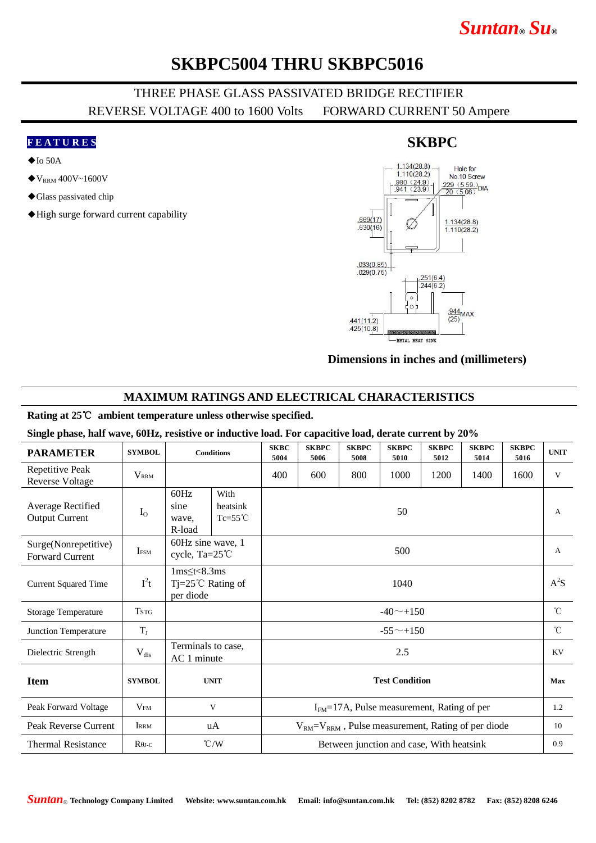# *Suntan***®** *Su***®**

## **SKBPC5004 THRU SKBPC5016**

### THREE PHASE GLASS PASSIVATED BRIDGE RECTIFIER REVERSE VOLTAGE 400 to 1600 Volts FORWARD CURRENT 50 Ampere

#### **F E A T U R E S**

- $\blacklozenge$  Io 50A
- $\blacklozenge$  V<sub>RRM</sub> 400V~1600V
- ◆Glass passivated chip
- ◆High surge forward current capability

#### $1.134(28.8)$ Hole for  $1.110(28.2)$ No.10 Screw  $\frac{980 (24.9)}{941 (23.9)}$ No. Tu Screw<br> $\frac{229 (5.59)}{20 (5.08)}$ DIA  $.669(17)$  $1.134(28.8)$  $.630(16)$  $1.110(28.2)$  $.033(0.85)$  $.029(0.75)$  $.251(6.4)$  $.244(6.2)$  $\epsilon$  $\frac{944}{95}$ MAX  $(25)$  $.441(11.2)$  $.425(10.8)$ **METAL HEAT SINK**

#### **Dimensions in inches and (millimeters)**

#### **MAXIMUM RATINGS AND ELECTRICAL CHARACTERISTICS**

#### **Rating at 25**℃ **ambient temperature unless otherwise specified.**

#### **Single phase, half wave, 60Hz, resistive or inductive load. For capacitive load, derate current by 20%**

| <b>PARAMETER</b>                           | <b>SYMBOL</b>           | <b>Conditions</b>                                                       |  | <b>SKBC</b><br>5004                                         | <b>SKBPC</b><br>5006 | <b>SKBPC</b><br>5008 | <b>SKBPC</b><br>5010 | <b>SKBPC</b><br>5012 | <b>SKBPC</b><br>5014 | <b>SKBPC</b><br>5016 | <b>UNIT</b>  |
|--------------------------------------------|-------------------------|-------------------------------------------------------------------------|--|-------------------------------------------------------------|----------------------|----------------------|----------------------|----------------------|----------------------|----------------------|--------------|
| Repetitive Peak<br><b>Reverse Voltage</b>  | <b>V</b> <sub>RRM</sub> |                                                                         |  | 400                                                         | 600                  | 800                  | 1000                 | 1200                 | 1400                 | 1600                 | V            |
| Average Rectified<br><b>Output Current</b> | $I_{O}$                 | 60Hz<br>With<br>sine<br>heatsink<br>$Tc=55^{\circ}C$<br>wave,<br>R-load |  | 50                                                          |                      |                      |                      |                      |                      |                      | A            |
| Surge(Nonrepetitive)<br>Forward Current    | <b>IFSM</b>             | 60Hz sine wave, 1<br>cycle, Ta=25°C                                     |  | 500                                                         |                      |                      |                      |                      |                      |                      | $\mathbf{A}$ |
| <b>Current Squared Time</b>                | $I^2t$                  | $1ms \leq t < 8.3ms$<br>$Tj = 25^{\circ}C$ Rating of<br>per diode       |  | 1040                                                        |                      |                      |                      |                      |                      |                      | $A^2S$       |
| <b>Storage Temperature</b>                 | <b>TSTG</b>             |                                                                         |  | $-40$ $-+150$                                               |                      |                      |                      |                      |                      |                      | $^{\circ}$ C |
| Junction Temperature                       | $T_{J}$                 |                                                                         |  | $-55^{\sim}+150$                                            |                      |                      |                      |                      |                      |                      | $^{\circ}$ C |
| Dielectric Strength                        | $V_{dis}$               | Terminals to case,<br>AC 1 minute                                       |  | 2.5                                                         |                      |                      |                      |                      |                      |                      | KV           |
| <b>Item</b>                                | <b>SYMBOL</b>           | <b>UNIT</b>                                                             |  | <b>Test Condition</b>                                       |                      |                      |                      |                      |                      |                      | Max          |
| Peak Forward Voltage                       | V <sub>FM</sub>         | V                                                                       |  | $IFM=17A$ , Pulse measurement, Rating of per                |                      |                      |                      |                      |                      |                      | 1.2          |
| Peak Reverse Current                       | <b>IRRM</b>             | uA                                                                      |  | $V_{RM} = V_{RRM}$ , Pulse measurement, Rating of per diode |                      |                      |                      |                      |                      |                      | 10           |
| <b>Thermal Resistance</b>                  | $R\theta$ J-C           | $\degree$ C/W                                                           |  | Between junction and case, With heatsink                    |                      |                      |                      |                      |                      |                      | 0.9          |

### **SKBPC**